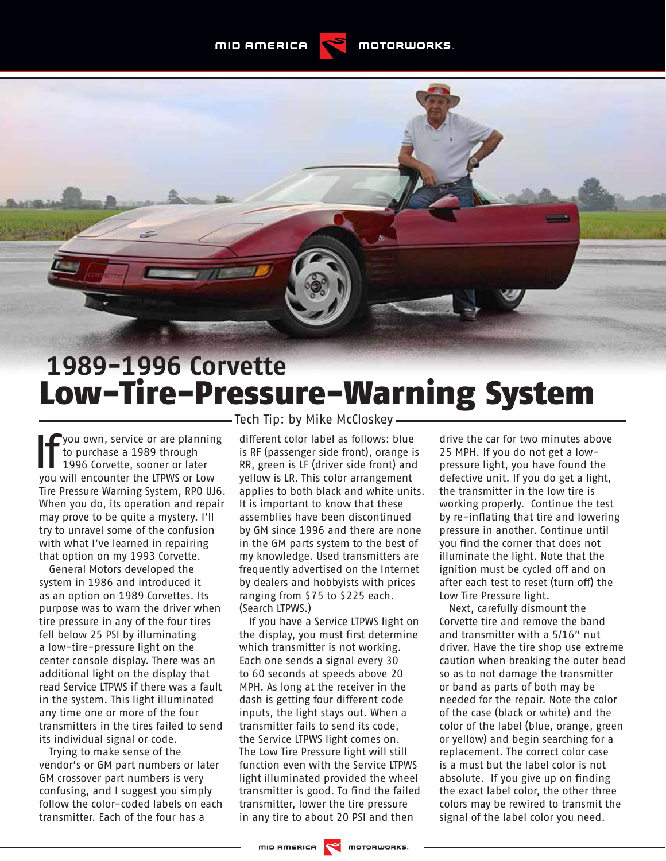## **1989-1996 Corvette** Low-Tire-Pressure-Warning System

**J**you own, service or are planning to purchase a 1989 through 1996 Corvette, sooner or later you will encounter the LTPWS or Low Tire Pressure Warning System, RPO UJ6. When you do, its operation and repair may prove to be quite a mystery. I'll try to unravel some of the confusion with what I've learned in repairing that option on my 1993 Corvette.

General Motors developed the system in 1986 and introduced it as an option on 1989 Corvettes. Its purpose was to warn the driver when tire pressure in any of the four tires fell below 25 PSI by illuminating a low-tire-pressure light on the center console display. There was an additional light on the display that read Service LTPWS if there was a fault in the system. This light illuminated any time one or more of the four transmitters in the tires failed to send its individual signal or code.

Trying to make sense of the vendor's or GM part numbers or later GM crossover part numbers is very confusing, and I suggest you simply follow the color-coded labels on each transmitter. Each of the four has a

- Tech Tip: by Mike McCloskey -

different color label as follows: blue is RF (passenger side front), orange is RR, green is LF (driver side front) and yellow is LR. This color arrangement applies to both black and white units. It is important to know that these assemblies have been discontinued by GM since 1996 and there are none in the GM parts system to the best of my knowledge. Used transmitters are frequently advertised on the Internet by dealers and hobbyists with prices ranging from \$75 to \$225 each. (Search LTPWS.)

If you have a Service LTPWS light on the display, you must first determine which transmitter is not working. Each one sends a signal every 30 to 60 seconds at speeds above 20 MPH. As long at the receiver in the dash is getting four different code inputs, the light stays out. When a transmitter fails to send its code, the Service LTPWS light comes on. The Low Tire Pressure light will still function even with the Service LTPWS light illuminated provided the wheel transmitter is good. To find the failed transmitter, lower the tire pressure in any tire to about 20 PSI and then

drive the car for two minutes above 25 MPH. If you do not get a lowpressure light, you have found the defective unit. If you do get a light, the transmitter in the low tire is working properly. Continue the test by re-inflating that tire and lowering pressure in another. Continue until you find the corner that does not illuminate the light. Note that the ignition must be cycled off and on after each test to reset (turn off) the Low Tire Pressure light.

Next, carefully dismount the Corvette tire and remove the band and transmitter with a 5/16" nut driver. Have the tire shop use extreme caution when breaking the outer bead so as to not damage the transmitter or band as parts of both may be needed for the repair. Note the color of the case (black or white) and the color of the label (blue, orange, green or yellow) and begin searching for a replacement. The correct color case is a must but the label color is not absolute. If you give up on finding the exact label color, the other three colors may be rewired to transmit the signal of the label color you need.